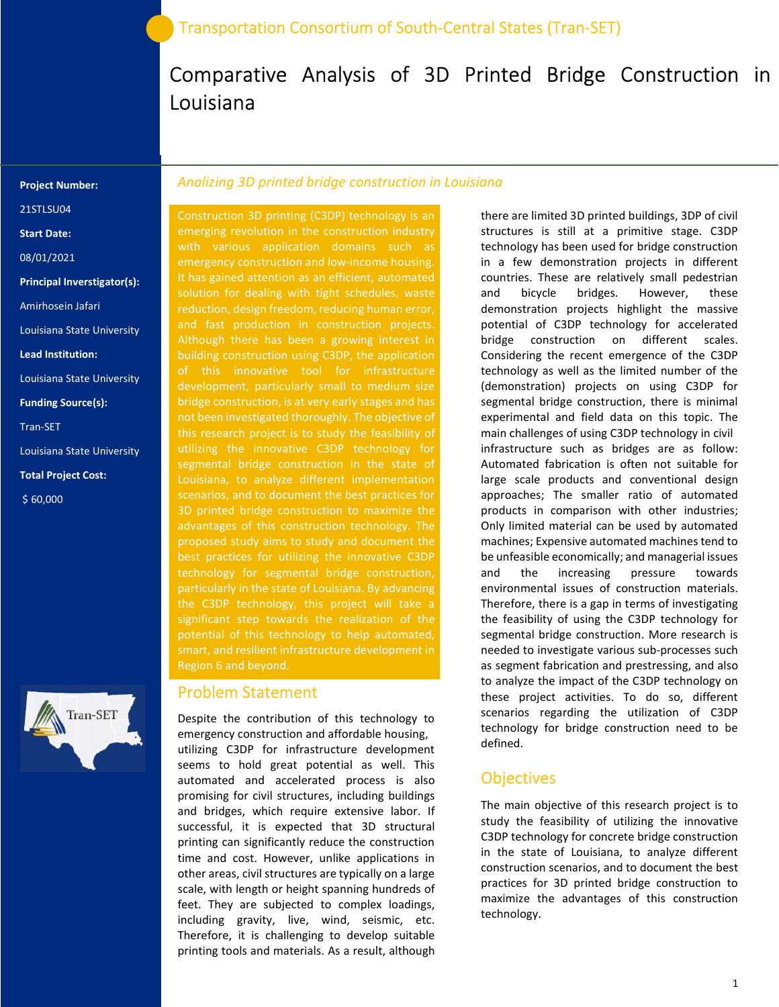# Comparative Analysis of 3D Printed Bridge Construction in Louisiana

#### Project Number:

21STLSU04

Start Date:

08/01/2021

Principal Inverstigator(s):

Amirhosein Jafari

Louisiana State University

Lead Institution:

Louisiana State University

Funding Source(s):

Tran-SET

Louisiana State University

Total Project Cost:

\$ 60,000



#### Analizing 3D printed bridge construction in Louisiana

Construction 3D printing (C3DP) technology is an emerging revolution in the construction industry with various application domains such as emergency construction and low-income housing. It has gained attention as an efficient, automated solution for dealing with tight schedules, waste reduction, design freedom, reducing human error, and fast production in construction projects. Although there has been a growing interest in building construction using C3DP, the application development, particularly small to medium size bridge construction, is at very early stages and has not been investigated thoroughly. The objective of this research project is to study the feasibility of utilizing the innovative C3DP technology for segmental bridge construction in the state of Louisiana, to analyze different implementation 3D printed bridge construction to maximize the advantages of this construction technology. The best practices for utilizing the innovative C3DP technology for segmental bridge construction, particularly in the state of Louisiana. By advancing the C3DP technology, this project will take a significant step towards the realization of the potential of this technology to help automated, Region 6 and beyond.

#### Problem Statement

Despite the contribution of this technology to emergency construction and affordable housing, utilizing C3DP for infrastructure development seems to hold great potential as well. This automated and accelerated process is also promising for civil structures, including buildings and bridges, which require extensive labor. If successful, it is expected that 3D structural printing can significantly reduce the construction time and cost. However, unlike applications in other areas, civil structures are typically on a large scale, with length or height spanning hundreds of feet. They are subjected to complex loadings, including gravity, live, wind, seismic, etc. Therefore, it is challenging to develop suitable printing tools and materials. As a result, although

there are limited 3D printed buildings, 3DP of civil structures is still at a primitive stage. C3DP technology has been used for bridge construction in a few demonstration projects in different countries. These are relatively small pedestrian and bicycle bridges. However, these demonstration projects highlight the massive potential of C3DP technology for accelerated bridge construction on different scales. Considering the recent emergence of the C3DP technology as well as the limited number of the (demonstration) projects on using C3DP for segmental bridge construction, there is minimal experimental and field data on this topic. The main challenges of using C3DP technology in civil infrastructure such as bridges are as follow: Automated fabrication is often not suitable for large scale products and conventional design approaches; The smaller ratio of automated products in comparison with other industries; Only limited material can be used by automated machines; Expensive automated machines tend to be unfeasible economically; and managerial issues and the increasing pressure towards environmental issues of construction materials. Therefore, there is a gap in terms of investigating the feasibility of using the C3DP technology for segmental bridge construction. More research is needed to investigate various sub-processes such as segment fabrication and prestressing, and also to analyze the impact of the C3DP technology on these project activities. To do so, different scenarios regarding the utilization of C3DP technology for bridge construction need to be defined.

#### **Objectives**

The main objective of this research project is to study the feasibility of utilizing the innovative C3DP technology for concrete bridge construction in the state of Louisiana, to analyze different construction scenarios, and to document the best practices for 3D printed bridge construction to maximize the advantages of this construction technology.